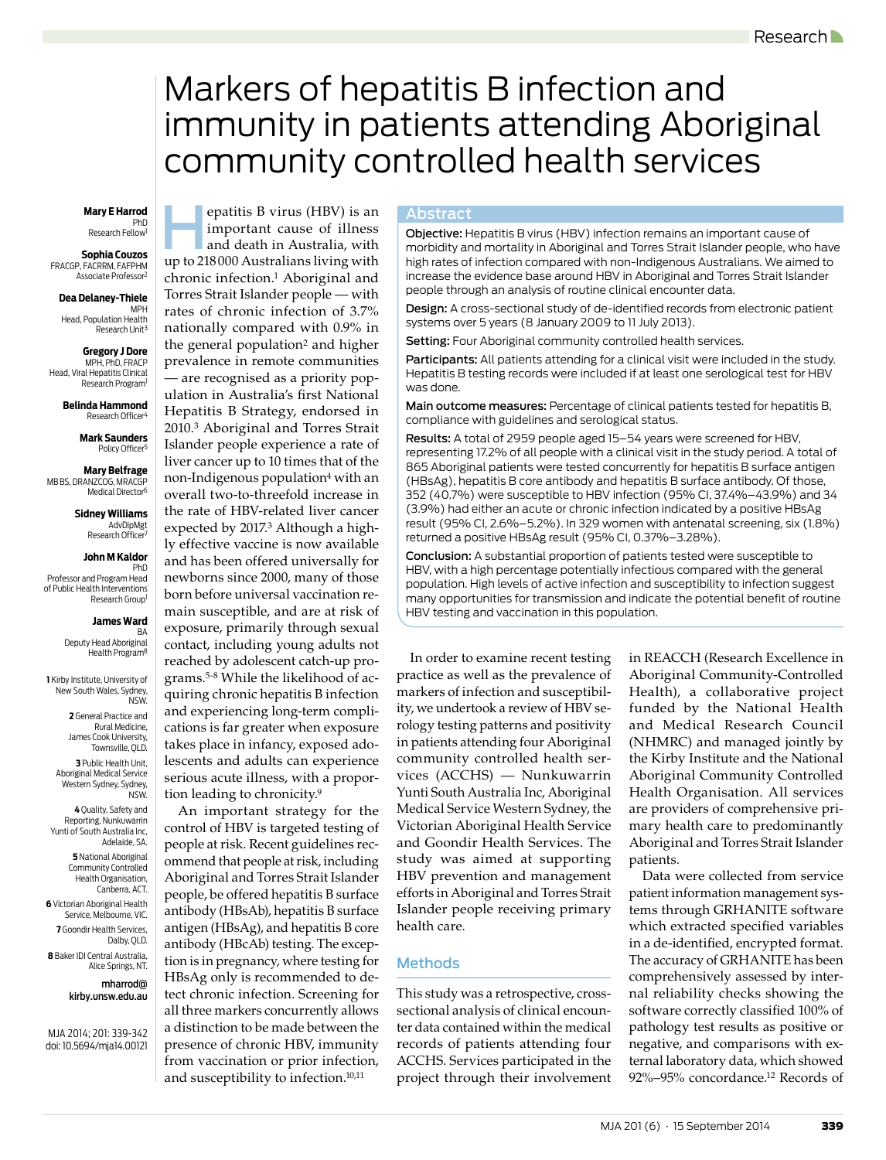# Markers of hepatitis B infection and immunity in patients attending Aboriginal community controlled health services

#### **Mary E Harrod**  PhD

Research Fellow<sup>1</sup>

**Sophia Couzos**  FRACGP, FACRRM, FAFPHM Associate Professor<sup>2</sup>

## **Dea Delaney-Thiele** MPH Head, Population Health

Research Unit

#### **Gregory J Dore**

MPH, PhD, FRACP Head, Viral Hepatitis Clinical Research Program<sup>1</sup>

> **Belinda Hammond**  Research Officer<sup>4</sup>

> > **Mark Saunders**  Policy Officer<sup>5</sup>

**Mary Belfrage**  MB BS, DRANZCOG, MRACGE Medical Director<sup>6</sup>

**Sidney Williams**  AdvDipMgt Research Officer

#### **John M Kaldor**

PhD Professor and Program Head of Public Health Interventions Research Group<sup>1</sup>

#### **James Ward**

BA Deputy Head Aboriginal Health Program<sup>8</sup>

**1** Kirby Institute, University of New South Wales, Sydney, **NSW** 

> **2** General Practice and Rural Medicine, James Cook University, Townsville, QLD. **3** Public Health Unit,

Aboriginal Medical Service Western Sydney, Sydney, NSW.

**4** Quality, Safety and Reporting, Nunkuwarrin Yunti of South Australia Inc, Adelaide, SA.

**5** National Aboriginal Community Controlled Health Organisation, Canberra, ACT.

**6** Victorian Aboriginal Health Service, Melbourne, VIC. **7** Goondir Health Services,

Dalby, QLD. **8** Baker IDI Central Australia,

Alice Springs, NT.

mharrod@ kirby.unsw.edu.au

MJA 2014; 201: 339-342 doi: 10.5694/mja14.00121 epatitis B virus (HBV) is an important cause of illness and death in Australia, with up to 218000 Australians living with important cause of illness and death in Australia, with chronic infection.1 Aboriginal and Torres Strait Islander people — with rates of chronic infection of 3.7% nationally compared with 0.9% in the general population<sup>2</sup> and higher prevalence in remote communities — are recognised as a priority population in Australia's first National Hepatitis B Strategy, endorsed in 2010.3 Aboriginal and Torres Strait Islander people experience a rate of liver cancer up to 10 times that of the non-Indigenous population<sup>4</sup> with an overall two-to-threefold increase in the rate of HBV-related liver cancer expected by 2017.3 Although a highly effective vaccine is now available and has been offered universally for newborns since 2000, many of those born before universal vaccination remain susceptible, and are at risk of exposure, primarily through sexual contact, including young adults not reached by adolescent catch-up programs.5-8 While the likelihood of ac-

quiring chronic hepatitis B infection and experiencing long-term complications is far greater when exposure takes place in infancy, exposed adolescents and adults can experience serious acute illness, with a propor-

An important strategy for the control of HBV is targeted testing of people at risk. Recent guidelines recommend that people at risk, including Aboriginal and Torres Strait Islander people, be offered hepatitis B surface antibody (HBsAb), hepatitis B surface antigen (HBsAg), and hepatitis B core antibody (HBcAb) testing. The exception is in pregnancy, where testing for HBsAg only is recommended to detect chronic infection. Screening for all three markers concurrently allows a distinction to be made between the presence of chronic HBV, immunity from vaccination or prior infection, and susceptibility to infection.10,11

tion leading to chronicity.9

Abstract

Objective: Hepatitis B virus (HBV) infection remains an important cause of morbidity and mortality in Aboriginal and Torres Strait Islander people, who have high rates of infection compared with non-Indigenous Australians. We aimed to increase the evidence base around HBV in Aboriginal and Torres Strait Islander people through an analysis of routine clinical encounter data.

Design: A cross-sectional study of de-identified records from electronic patient systems over 5 years (8 January 2009 to 11 July 2013).

Setting: Four Aboriginal community controlled health services.

Participants: All patients attending for a clinical visit were included in the study. Hepatitis B testing records were included if at least one serological test for HBV was done.

Main outcome measures: Percentage of clinical patients tested for hepatitis B, compliance with guidelines and serological status.

Results: A total of 2959 people aged 15–54 years were screened for HBV, representing 17.2% of all people with a clinical visit in the study period. A total of 865 Aboriginal patients were tested concurrently for hepatitis B surface antigen (HBsAg), hepatitis B core antibody and hepatitis B surface antibody. Of those, 352 (40.7%) were susceptible to HBV infection (95% CI, 37.4%–43.9%) and 34 (3.9%) had either an acute or chronic infection indicated by a positive HBsAg result (95% CI, 2.6%–5.2%). In 329 women with antenatal screening, six (1.8%) returned a positive HBsAg result (95% CI, 0.37%–3.28%).

Conclusion: A substantial proportion of patients tested were susceptible to HBV, with a high percentage potentially infectious compared with the general population. High levels of active infection and susceptibility to infection suggest many opportunities for transmission and indicate the potential benefit of routine HBV testing and vaccination in this population.

In order to examine recent testing practice as well as the prevalence of markers of infection and susceptibility, we undertook a review of HBV serology testing patterns and positivity in patients attending four Aboriginal community controlled health services (ACCHS) — Nunkuwarrin Yunti South Australia Inc, Aboriginal Medical Service Western Sydney, the Victorian Aboriginal Health Service and Goondir Health Services. The study was aimed at supporting HBV prevention and management efforts in Aboriginal and Torres Strait Islander people receiving primary health care.

# **Methods**

This study was a retrospective, crosssectional analysis of clinical encounter data contained within the medical records of patients attending four ACCHS. Services participated in the project through their involvement in REACCH (Research Excellence in Aboriginal Community-Controlled Health), a collaborative project funded by the National Health and Medical Research Council (NHMRC) and managed jointly by the Kirby Institute and the National Aboriginal Community Controlled Health Organisation. All services are providers of comprehensive primary health care to predominantly Aboriginal and Torres Strait Islander patients.

Data were collected from service patient information management systems through GRHANITE software which extracted specified variables in a de-identified, encrypted format. The accuracy of GRHANITE has been comprehensively assessed by internal reliability checks showing the software correctly classified 100% of pathology test results as positive or negative, and comparisons with external laboratory data, which showed 92%–95% concordance.12 Records of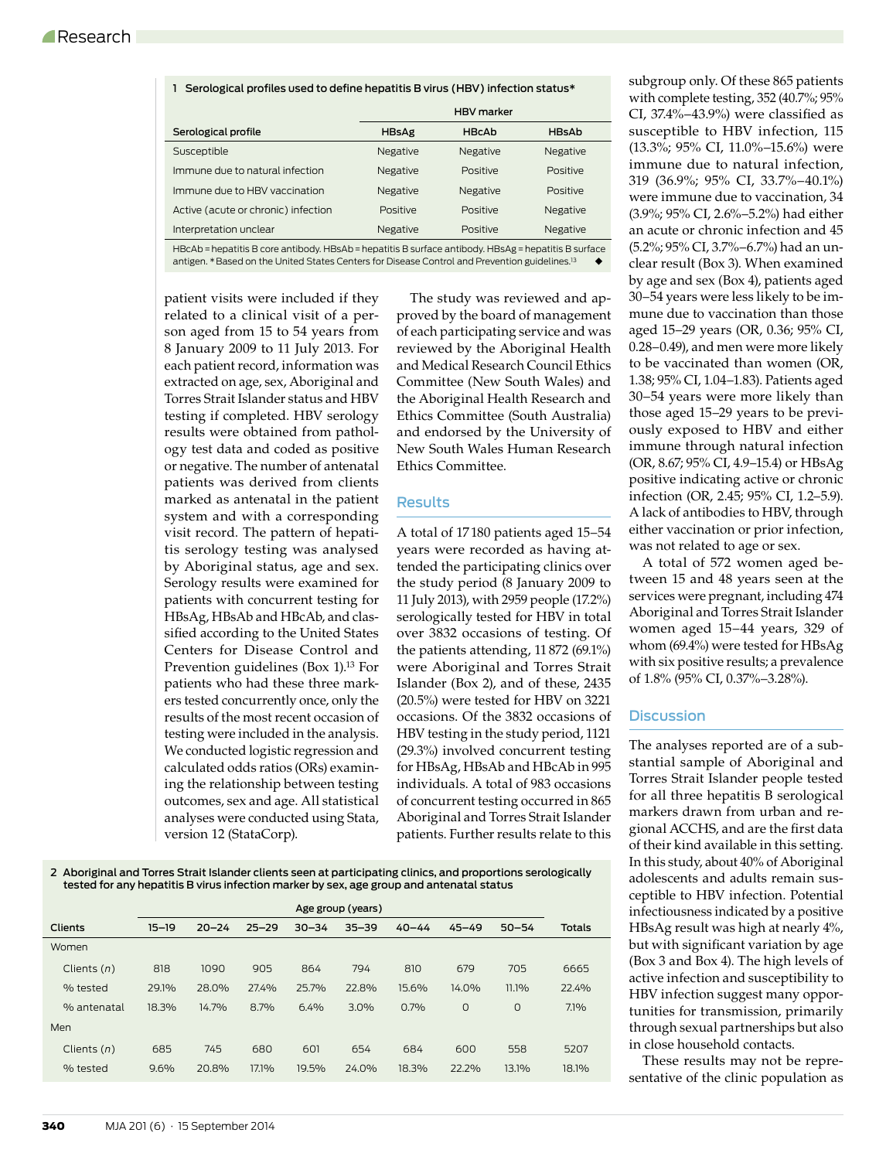| 1 Serological profiles used to define hepatitis B virus (HBV) infection status* |  |
|---------------------------------------------------------------------------------|--|
|---------------------------------------------------------------------------------|--|

|                                     | <b>HBV</b> marker |                 |                 |  |  |
|-------------------------------------|-------------------|-----------------|-----------------|--|--|
| Serological profile                 | <b>HBsAg</b>      | <b>HBcAb</b>    | <b>HRsAh</b>    |  |  |
| Susceptible                         | <b>Negative</b>   | <b>Negative</b> | <b>Negative</b> |  |  |
| Immune due to natural infection     | Negative          | Positive        | Positive        |  |  |
| Immune due to HBV vaccination       | Negative          | Negative        | Positive        |  |  |
| Active (acute or chronic) infection | Positive          | Positive        | <b>Negative</b> |  |  |
| Interpretation unclear              | Negative          | <b>Positive</b> | <b>Negative</b> |  |  |

HBcAb = hepatitis B core antibody. HBsAb = hepatitis B surface antibody. HBsAg = hepatitis B surface antigen. \* Based on the United States Centers for Disease Control and Prevention guidelines.13

patient visits were included if they related to a clinical visit of a person aged from 15 to 54 years from 8 January 2009 to 11 July 2013. For each patient record, information was extracted on age, sex, Aboriginal and Torres Strait Islander status and HBV testing if completed. HBV serology results were obtained from pathology test data and coded as positive or negative. The number of antenatal patients was derived from clients marked as antenatal in the patient system and with a corresponding visit record. The pattern of hepatitis serology testing was analysed by Aboriginal status, age and sex. Serology results were examined for patients with concurrent testing for HBsAg, HBsAb and HBcAb, and classified according to the United States Centers for Disease Control and Prevention guidelines (Box 1).13 For patients who had these three markers tested concurrently once, only the results of the most recent occasion of testing were included in the analysis. We conducted logistic regression and calculated odds ratios (ORs) examining the relationship between testing outcomes, sex and age. All statistical analyses were conducted using Stata, version 12 (StataCorp).

The study was reviewed and approved by the board of management of each participating service and was reviewed by the Aboriginal Health and Medical Research Council Ethics Committee (New South Wales) and the Aboriginal Health Research and Ethics Committee (South Australia) and endorsed by the University of New South Wales Human Research Ethics Committee.

#### Results

A total of 17 180 patients aged 15–54 years were recorded as having attended the participating clinics over the study period (8 January 2009 to 11 July 2013), with 2959 people (17.2%) serologically tested for HBV in total over 3832 occasions of testing. Of the patients attending, 11 872 (69.1%) were Aboriginal and Torres Strait Islander (Box 2), and of these, 2435 (20.5%) were tested for HBV on 3221 occasions. Of the 3832 occasions of HBV testing in the study period, 1121 (29.3%) involved concurrent testing for HBsAg, HBsAb and HBcAb in 995 individuals. A total of 983 occasions of concurrent testing occurred in 865 Aboriginal and Torres Strait Islander patients. Further results relate to this

2 Aboriginal and Torres Strait Islander clients seen at participating clinics, and proportions serologically tested for any hepatitis B virus infection marker by sex, age group and antenatal status

|               | Age group (years) |           |           |           |           |           |           |           |               |
|---------------|-------------------|-----------|-----------|-----------|-----------|-----------|-----------|-----------|---------------|
| Clients       | $15 - 19$         | $20 - 24$ | $25 - 29$ | $30 - 34$ | $35 - 39$ | $40 - 44$ | $45 - 49$ | $50 - 54$ | <b>Totals</b> |
| Women         |                   |           |           |           |           |           |           |           |               |
| Clients $(n)$ | 818               | 1090      | 905       | 864       | 794       | 810       | 679       | 705       | 6665          |
| % tested      | 29.1%             | 28.0%     | 27.4%     | 25.7%     | 22.8%     | 15.6%     | 14.0%     | 11.1%     | 22.4%         |
| % antenatal   | 18.3%             | 14.7%     | 8.7%      | 6.4%      | 3.0%      | 0.7%      | 0         | $\circ$   | 7.1%          |
| Men           |                   |           |           |           |           |           |           |           |               |
| Clients $(n)$ | 685               | 745       | 680       | 601       | 654       | 684       | 600       | 558       | 5207          |
| % tested      | 9.6%              | 20.8%     | 17.1%     | 19.5%     | 24.0%     | 18.3%     | 22.2%     | 13.1%     | 18.1%         |

subgroup only. Of these 865 patients with complete testing, 352 (40.7%; 95% CI,  $37.4\% - 43.9\%$ ) were classified as susceptible to HBV infection, 115 (13.3%; 95% CI, 11.0%–15.6%) were immune due to natural infection, 319 (36.9%; 95% CI, 33.7%–40.1%) were immune due to vaccination, 34 (3.9%; 95% CI, 2.6%–5.2%) had either an acute or chronic infection and 45 (5.2%; 95% CI, 3.7%–6.7%) had an unclear result (Box 3). When examined by age and sex (Box 4), patients aged 30–54 years were less likely to be immune due to vaccination than those aged 15–29 years (OR, 0.36; 95% CI, 0.28–0.49), and men were more likely to be vaccinated than women (OR, 1.38; 95% CI, 1.04–1.83). Patients aged 30–54 years were more likely than those aged 15–29 years to be previously exposed to HBV and either immune through natural infection (OR, 8.67; 95% CI, 4.9–15.4) or HBsAg positive indicating active or chronic infection (OR, 2.45; 95% CI, 1.2–5.9). A lack of antibodies to HBV, through either vaccination or prior infection, was not related to age or sex.

A total of 572 women aged between 15 and 48 years seen at the services were pregnant, including 474 Aboriginal and Torres Strait Islander women aged 15–44 years, 329 of whom (69.4%) were tested for HBsAg with six positive results; a prevalence of 1.8% (95% CI, 0.37%–3.28%).

### **Discussion**

The analyses reported are of a substantial sample of Aboriginal and Torres Strait Islander people tested for all three hepatitis B serological markers drawn from urban and regional ACCHS, and are the first data of their kind available in this setting. In this study, about 40% of Aboriginal adolescents and adults remain susceptible to HBV infection. Potential infectiousness indicated by a positive HBsAg result was high at nearly 4%, but with significant variation by age (Box 3 and Box 4). The high levels of active infection and susceptibility to HBV infection suggest many opportunities for transmission, primarily through sexual partnerships but also in close household contacts.

These results may not be representative of the clinic population as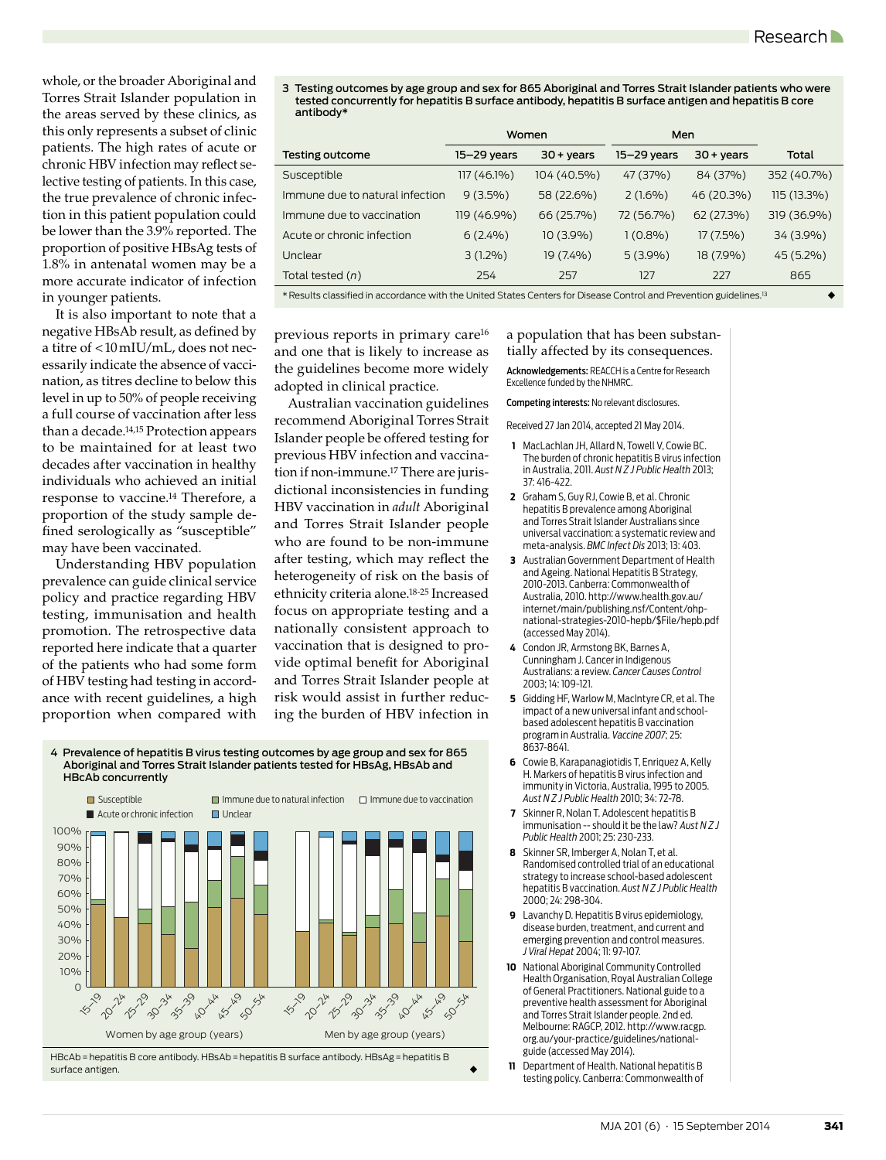whole, or the broader Aboriginal and Torres Strait Islander population in the areas served by these clinics, as this only represents a subset of clinic patients. The high rates of acute or chronic HBV infection may reflect selective testing of patients. In this case, the true prevalence of chronic infection in this patient population could be lower than the 3.9% reported. The proportion of positive HBsAg tests of 1.8% in antenatal women may be a more accurate indicator of infection in younger patients.

It is also important to note that a negative HBsAb result, as defined by a titre of < 10 mIU/mL, does not necessarily indicate the absence of vaccination, as titres decline to below this level in up to 50% of people receiving a full course of vaccination after less than a decade.14,15 Protection appears to be maintained for at least two decades after vaccination in healthy individuals who achieved an initial response to vaccine.14 Therefore, a proportion of the study sample defined serologically as "susceptible" may have been vaccinated.

Understanding HBV population prevalence can guide clinical service policy and practice regarding HBV testing, immunisation and health promotion. The retrospective data reported here indicate that a quarter of the patients who had some form of HBV testing had testing in accordance with recent guidelines, a high proportion when compared with

3 Testing outcomes by age group and sex for 865 Aboriginal and Torres Strait Islander patients who were tested concurrently for hepatitis B surface antibody, hepatitis B surface antigen and hepatitis B core antibody\*

|                                 |             | Women               | Men         |                    |             |
|---------------------------------|-------------|---------------------|-------------|--------------------|-------------|
| <b>Testing outcome</b>          | 15-29 years | $30 + \text{years}$ | 15-29 years | $30 + \gamma$ ears | Total       |
| Susceptible                     | 117 (46.1%) | 104 (40.5%)         | 47 (37%)    | 84 (37%)           | 352 (40.7%) |
| Immune due to natural infection | $9(3.5\%)$  | 58 (22.6%)          | $2(1.6\%)$  | 46 (20.3%)         | 115 (13.3%) |
| Immune due to vaccination       | 119 (46.9%) | 66 (25.7%)          | 72 (56.7%)  | 62 (27.3%)         | 319 (36.9%) |
| Acute or chronic infection      | $6(2.4\%)$  | 10 (3.9%)           | $1(0.8\%)$  | $17(7.5\%)$        | 34 (3.9%)   |
| Unclear                         | $3(1.2\%)$  | 19 (7.4%)           | $5(3.9\%)$  | 18 (7.9%)          | 45 (5.2%)   |
| Total tested $(n)$              | 254         | 257                 | 127         | 227                | 865         |
|                                 |             |                     |             |                    |             |

\* Results classified in accordance with the United States Centers for Disease Control and Prevention guidelines.<sup>13</sup>

previous reports in primary care16 and one that is likely to increase as the guidelines become more widely adopted in clinical practice.

Australian vaccination guidelines recommend Aboriginal Torres Strait Islander people be offered testing for previous HBV infection and vaccination if non-immune.17 There are jurisdictional inconsistencies in funding HBV vaccination in *adult* Aboriginal and Torres Strait Islander people who are found to be non-immune after testing, which may reflect the heterogeneity of risk on the basis of ethnicity criteria alone.18-25 Increased focus on appropriate testing and a nationally consistent approach to vaccination that is designed to provide optimal benefit for Aboriginal and Torres Strait Islander people at risk would assist in further reducing the burden of HBV infection in

4 Prevalence of hepatitis B virus testing outcomes by age group and sex for 865 Aboriginal and Torres Strait Islander patients tested for HBsAg, HBsAb and HBcAb concurrently



HBcAb = hepatitis B core antibody. HBsAb = hepatitis B surface antibody. HBsAg = hepatitis B surface antigen.

a population that has been substantially affected by its consequences.

Acknowledgements: REACCH is a Centre for Research Excellence funded by the NHMRC.

Competing interests: No relevant disclosures.

Received 27 Jan 2014, accepted 21 May 2014.

- **1** MacLachlan JH, Allard N, Towell V, Cowie BC. The burden of chronic hepatitis B virus infection in Australia, 2011. *Aust N Z J Public Health* 2013; 37: 416-422.
- **2** Graham S, Guy RJ, Cowie B, et al. Chronic hepatitis B prevalence among Aboriginal and Torres Strait Islander Australians since universal vaccination: a systematic review and meta-analysis. *BMC Infect Dis* 2013; 13: 403.
- **3** Australian Government Department of Health and Ageing. National Hepatitis B Strategy, 2010-2013. Canberra: Commonwealth of Australia, 2010. http://www.health.gov.au/ internet/main/publishing.nsf/Content/ohpnational-strategies-2010-hepb/\$File/hepb.pdf (accessed May 2014).
- **4** Condon JR, Armstong BK, Barnes A, Cunningham J. Cancer in Indigenous Australians: a review. *Cancer Causes Control* 2003; 14: 109-121.
- **5** Gidding HF, Warlow M, MacIntyre CR, et al. The impact of a new universal infant and schoolbased adolescent hepatitis B vaccination program in Australia. *Vaccine 2007*; 25: 8637-8641.
- **6** Cowie B, Karapanagiotidis T, Enriquez A, Kelly H. Markers of hepatitis B virus infection and immunity in Victoria, Australia, 1995 to 2005. *Aust N Z J Public Health* 2010; 34: 72-78.
- **7** Skinner R, Nolan T. Adolescent hepatitis B immunisation -- should it be the law? *Aust N Z J Public Health* 2001; 25: 230-233.
- **8** Skinner SR, Imberger A, Nolan T, et al. Randomised controlled trial of an educational strategy to increase school-based adolescent hepatitis B vaccination. *Aust N Z J Public Health*  2000; 24: 298-304.
- **9** Lavanchy D. Hepatitis B virus epidemiology, disease burden, treatment, and current and emerging prevention and control measures. *J Viral Hepat* 2004; 11: 97-107.
- **10** National Aboriginal Community Controlled Health Organisation, Royal Australian College of General Practitioners. National guide to a preventive health assessment for Aboriginal and Torres Strait Islander people. 2nd ed. Melbourne: RAGCP, 2012. http://www.racgp. org.au/your-practice/guidelines/nationalguide (accessed May 2014).
- **11** Department of Health. National hepatitis B testing policy. Canberra: Commonwealth of